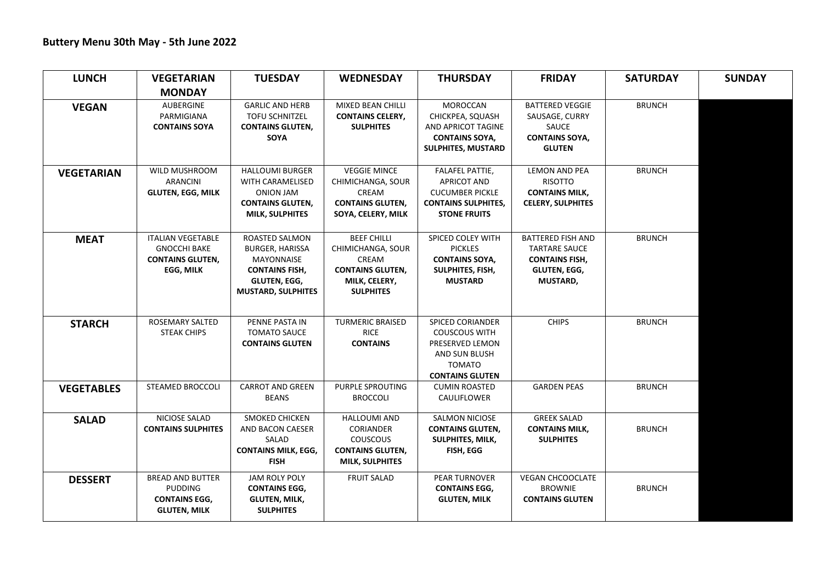| <b>LUNCH</b>      | <b>VEGETARIAN</b>              | <b>TUESDAY</b>                                  | <b>WEDNESDAY</b>                             | <b>THURSDAY</b>                     | <b>FRIDAY</b>                            | <b>SATURDAY</b> | <b>SUNDAY</b> |
|-------------------|--------------------------------|-------------------------------------------------|----------------------------------------------|-------------------------------------|------------------------------------------|-----------------|---------------|
|                   | <b>MONDAY</b>                  |                                                 |                                              |                                     |                                          |                 |               |
| <b>VEGAN</b>      | <b>AUBERGINE</b><br>PARMIGIANA | <b>GARLIC AND HERB</b><br><b>TOFU SCHNITZEL</b> | MIXED BEAN CHILLI<br><b>CONTAINS CELERY,</b> | <b>MOROCCAN</b><br>CHICKPEA, SQUASH | <b>BATTERED VEGGIE</b><br>SAUSAGE, CURRY | <b>BRUNCH</b>   |               |
|                   | <b>CONTAINS SOYA</b>           | <b>CONTAINS GLUTEN,</b>                         | <b>SULPHITES</b>                             | AND APRICOT TAGINE                  | SAUCE                                    |                 |               |
|                   |                                | <b>SOYA</b>                                     |                                              | <b>CONTAINS SOYA,</b>               | <b>CONTAINS SOYA,</b>                    |                 |               |
|                   |                                |                                                 |                                              | SULPHITES, MUSTARD                  | <b>GLUTEN</b>                            |                 |               |
| <b>VEGETARIAN</b> | <b>WILD MUSHROOM</b>           | <b>HALLOUMI BURGER</b>                          | <b>VEGGIE MINCE</b>                          | <b>FALAFEL PATTIE.</b>              | <b>LEMON AND PEA</b>                     | <b>BRUNCH</b>   |               |
|                   | <b>ARANCINI</b>                | WITH CARAMELISED                                | CHIMICHANGA, SOUR                            | <b>APRICOT AND</b>                  | <b>RISOTTO</b>                           |                 |               |
|                   | <b>GLUTEN, EGG, MILK</b>       | <b>ONION JAM</b>                                | CREAM                                        | <b>CUCUMBER PICKLE</b>              | <b>CONTAINS MILK,</b>                    |                 |               |
|                   |                                | <b>CONTAINS GLUTEN,</b>                         | <b>CONTAINS GLUTEN,</b>                      | <b>CONTAINS SULPHITES,</b>          | <b>CELERY, SULPHITES</b>                 |                 |               |
|                   |                                | <b>MILK, SULPHITES</b>                          | SOYA, CELERY, MILK                           | <b>STONE FRUITS</b>                 |                                          |                 |               |
| <b>MEAT</b>       | <b>ITALIAN VEGETABLE</b>       | ROASTED SALMON                                  | <b>BEEF CHILLI</b>                           | SPICED COLEY WITH                   | <b>BATTERED FISH AND</b>                 | <b>BRUNCH</b>   |               |
|                   | <b>GNOCCHI BAKE</b>            | <b>BURGER, HARISSA</b>                          | CHIMICHANGA, SOUR                            | <b>PICKLES</b>                      | <b>TARTARE SAUCE</b>                     |                 |               |
|                   | <b>CONTAINS GLUTEN,</b>        | <b>MAYONNAISE</b>                               | CREAM                                        | <b>CONTAINS SOYA,</b>               | <b>CONTAINS FISH,</b>                    |                 |               |
|                   | EGG, MILK                      | <b>CONTAINS FISH,</b>                           | <b>CONTAINS GLUTEN,</b>                      | SULPHITES, FISH,                    | <b>GLUTEN, EGG,</b>                      |                 |               |
|                   |                                | GLUTEN, EGG,<br><b>MUSTARD, SULPHITES</b>       | MILK, CELERY,<br><b>SULPHITES</b>            | <b>MUSTARD</b>                      | MUSTARD,                                 |                 |               |
|                   |                                |                                                 |                                              |                                     |                                          |                 |               |
| <b>STARCH</b>     | <b>ROSEMARY SALTED</b>         | PENNE PASTA IN                                  | <b>TURMERIC BRAISED</b>                      | <b>SPICED CORIANDER</b>             | <b>CHIPS</b>                             | <b>BRUNCH</b>   |               |
|                   | <b>STEAK CHIPS</b>             | <b>TOMATO SAUCE</b>                             | <b>RICE</b>                                  | <b>COUSCOUS WITH</b>                |                                          |                 |               |
|                   |                                | <b>CONTAINS GLUTEN</b>                          | <b>CONTAINS</b>                              | PRESERVED LEMON                     |                                          |                 |               |
|                   |                                |                                                 |                                              | AND SUN BLUSH                       |                                          |                 |               |
|                   |                                |                                                 |                                              | <b>TOMATO</b>                       |                                          |                 |               |
|                   |                                |                                                 |                                              | <b>CONTAINS GLUTEN</b>              |                                          |                 |               |
| <b>VEGETABLES</b> | <b>STEAMED BROCCOLI</b>        | <b>CARROT AND GREEN</b><br><b>BEANS</b>         | <b>PURPLE SPROUTING</b>                      | <b>CUMIN ROASTED</b>                | <b>GARDEN PEAS</b>                       | <b>BRUNCH</b>   |               |
|                   |                                |                                                 | <b>BROCCOLI</b>                              | CAULIFLOWER                         |                                          |                 |               |
| <b>SALAD</b>      | NICIOSE SALAD                  | <b>SMOKED CHICKEN</b>                           | <b>HALLOUMI AND</b>                          | <b>SALMON NICIOSE</b>               | <b>GREEK SALAD</b>                       |                 |               |
|                   | <b>CONTAINS SULPHITES</b>      | AND BACON CAESER                                | <b>CORIANDER</b>                             | <b>CONTAINS GLUTEN,</b>             | <b>CONTAINS MILK,</b>                    | <b>BRUNCH</b>   |               |
|                   |                                | SALAD                                           | <b>COUSCOUS</b>                              | <b>SULPHITES, MILK,</b>             | <b>SULPHITES</b>                         |                 |               |
|                   |                                | <b>CONTAINS MILK, EGG,</b>                      | <b>CONTAINS GLUTEN,</b>                      | FISH, EGG                           |                                          |                 |               |
|                   |                                | <b>FISH</b>                                     | <b>MILK, SULPHITES</b>                       |                                     |                                          |                 |               |
| <b>DESSERT</b>    | <b>BREAD AND BUTTER</b>        | JAM ROLY POLY                                   | <b>FRUIT SALAD</b>                           | PEAR TURNOVER                       | <b>VEGAN CHCOOCLATE</b>                  |                 |               |
|                   | <b>PUDDING</b>                 | <b>CONTAINS EGG,</b>                            |                                              | <b>CONTAINS EGG,</b>                | <b>BROWNIE</b>                           | <b>BRUNCH</b>   |               |
|                   | <b>CONTAINS EGG,</b>           | <b>GLUTEN, MILK,</b>                            |                                              | <b>GLUTEN, MILK</b>                 | <b>CONTAINS GLUTEN</b>                   |                 |               |
|                   | <b>GLUTEN, MILK</b>            | <b>SULPHITES</b>                                |                                              |                                     |                                          |                 |               |